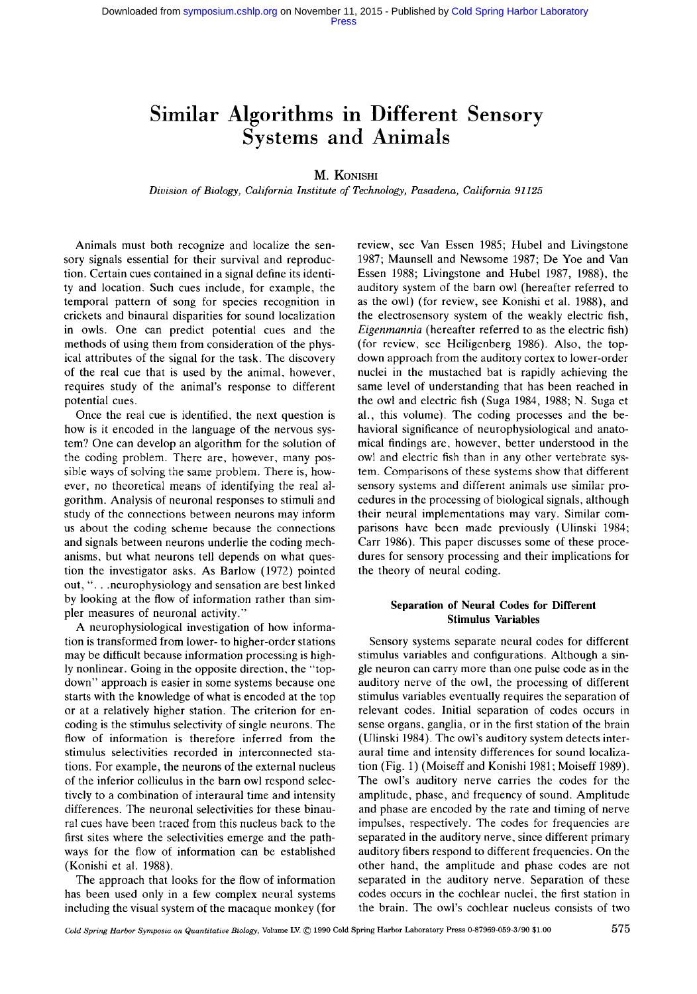# Similar Algorithms in Different Sensory Systems and Animals

## M. KONISHI

*Division of Biology, California Institute of Technology, Pasadena, California 91125* 

Animals must both recognize and localize the sensory signals essential for their survival and reproduction. Certain cues contained in a signal define its identity and location. Such cues include, for example, the temporal pattern of song for species recognition in crickets and binaural disparities for sound localization in owls. One can predict potential cues and the methods of using them from consideration of the physical attributes of the signal for the task. The discovery of the real cue that is used by the animal. however, requires study of the animal's response to different potential cues.

Once the real cue is identified, the next question is how is it encoded in the language of the nervous system? One can develop an algorithm for the solution of the coding problem. There are, however, many possible ways of solving the same problem. There is, however, no theoretical means of identifying the real algorithm. Analysis of neuronal responses to stimuli and study of the connections between neurons may inform us about the coding scheme because the connections and signals between neurons underlie the coding mechanisms, but what neurons tell depends on what question the investigator asks. As Barlow ( 1972) pointed out, "... neurophysiology and sensation are best linked by looking at the flow of information rather than simpler measures of neuronal activity."

A neurophysiological investigation of how information is transformed from lower- to higher-order stations may be difficult because information processing is highly nonlinear. Going in the opposite direction. the "topdown" approach is easier in some systems because one starts with the knowledge of what is encoded at the top or at a relatively higher station. The criterion for encoding is the stimulus selectivity of single neurons. The flow of information is therefore inferred from the stimulus selectivities recorded in interconnected stations. For example, the neurons of the external nucleus of the inferior colliculus in the barn owl respond selectively to a combination of interaural time and intensity differences. The neuronal selectivities for these binaural cues have been traced from this nucleus back to the first sites where the selectivities emerge and the pathways for the flow of information can be established (Konishi et al. 1988).

The approach that looks for the flow of information has been used only in a few complex neural systems including the visual system of the macaque monkey (for review, see Van Essen 1985; Hubel and Livingstone 1987; Maunsell and Newsome 1987; De Yoe and Van Essen 1988; Livingstone and Hubel 1987, 1988), the auditory system of the barn owl (hereafter referred to as the owl) (for review, see Konishi et al. 1988), and the electrosensory system of the weakly electric fish, Eigenmannia (hereafter referred to as the electric fish) (for review, see Heiligenberg 1986). Also, the topdown approach from the auditory cortex to lower-order nuclei in the mustached bat is rapidly achieving the same level of understanding that has been reached in the owl and electric fish (Suga 1984, 1988; N. Suga et al., this volume). The coding processes and the behavioral significance of neurophysiological and anatomical findings are, however, better understood in the owl and electric fish than in any other vertebrate system. Comparisons of these systems show that different sensory systems and different animals use similar procedures in the processing of biological signals, although their neural implementations may vary. Similar comparisons have been made previously (Ulinski 1984; Carr 1986). This paper discusses some of these procedures for sensory processing and their implications for the theory of neural coding.

#### Separation of Neural Codes for Different Stimulus Variables

Sensory systems separate neural codes for different stimulus variables and configurations. Although a single neuron can carry more than one pulse code as in the auditory nerve of the owl, the processing of different stimulus variables eventually requires the separation of relevant codes. Initial separation of codes occurs in sense organs, ganglia, or in the first station of the brain (Ulinski 1984). The owl's auditory system detects interaural time and intensity differences for sound localization (Fig. 1) (Moiseff and Konishi 1981; Moiseff 1989). The owl's auditory nerve carries the codes for the amplitude, phase, and frequency of sound. Amplitude and phase are encoded by the rate and timing of nerve impulses, respectively. The codes for frequencies are separated in the auditory nerve, since different primary auditory fibers respond to different frequencies. On the other hand, the amplitude and phase codes are not separated in the auditory nerve. Separation of these codes occurs in the cochlear nuclei, the first station in the brain. The owl's cochlear nucleus consists of two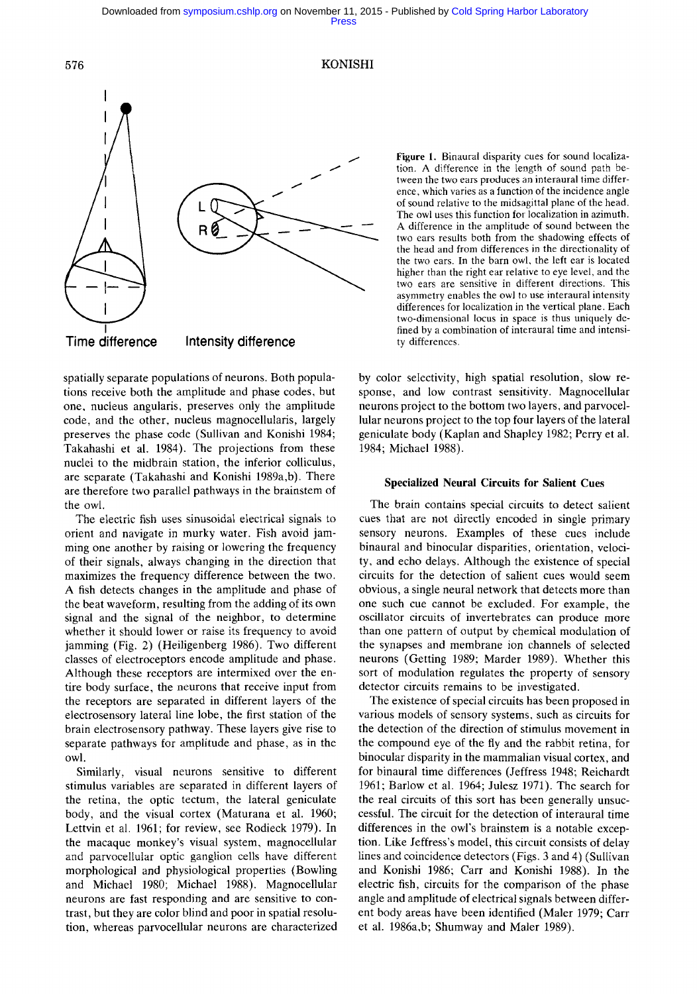

spatially separate populations of neurons. Both populations receive both the amplitude and phase codes, but one, nucleus angularis, preserves only the amplitude code, and the other, nucleus magnocellularis, largely preserves the phase code (Sullivan and Konishi 1984; Takahashi et al. 1984). The projections from these nuclei to the midbrain station, the inferior colliculus, are separate (Takahashi and Konishi 1989a,b). There are therefore two parallel pathways in the brainstem of the owl.

The electric fish uses sinusoidal electrical signals to orient and navigate in murky water. Fish avoid jamming one another by raising or lowering the frequency of their signals, always changing in the direction that maximizes the frequency difference between the two. A fish detects changes in the amplitude and phase of the beat waveform, resulting from the adding of its own signal and the signal of the neighbor, to determine whether it should lower or raise its frequency to avoid jamming (Fig. 2) (Heiligenberg 1986). Two different classes of electroceptors encode amplitude and phase. Although these receptors are intermixed over the entire body surface, the neurons that receive input from the receptors are separated in different layers of the electrosensory lateral line lobe, the first station of the brain electrosensory pathway. These layers give rise to separate pathways for amplitude and phase, as in the owl.

Similarly, visual neurons sensitive to different stimulus variables are separated in different layers of the retina, the optic tectum, the lateral geniculate body, and the visual cortex (Maturana et al. 1960; Lettvin et al. 1961; for review, see Rodieck 1979). In the macaque monkey's visual system, magnocellular and parvocellular optic ganglion cells have different morphological and physiological properties (Bowling and Michael 1980; Michael 1988). Magnocellular neurons are fast responding and are sensitive to contrast, but they are color blind and poor in spatial resolution, whereas parvocellular neurons are characterized Figure **l.** Binaural disparity cues for sound localization. A difference in the length of sound path between the two ears produces an interaural time difference, which varies as a function of the incidence angle of sound relative to the midsagittal plane of the head. The owl uses this function for localization in azimuth. A difference in the amplitude of sound between the two ears results both from the shadowing effects of the head and from differences in the directionality of the two ears. In the barn owl, the left ear is located higher than the right ear relative to eye level, and the two ears are sensitive in different directions. This asymmetry enables the owl to use interaural intensity differences for localization in the vertical plane. Each two-dimensional locus in space is thus uniquely defined by a combination of interaural time and intensity differences.

by color selectivity, high spatial resolution, slow response, and low contrast sensitivity. Magnocellular neurons project to the bottom two layers, and parvocellular neurons project to the top four layers of the lateral geniculate body (Kaplan and Shapley 1982; Perry et al. 1984; Michael 1988).

#### **Specialized Neural Circuits for Salient** Cues

The brain contains special circuits to detect salient cues that are not directly encoded in single primary sensory neurons. Examples of these cues include binaural and binocular disparities, orientation, velocity, and echo delays. Although the existence of special circuits for the detection of salient cues would seem obvious, a single neural network that detects more than one such cue cannot be excluded. For example, the oscillator circuits of invertebrates can produce more than one pattern of output by chemical modulation of the synapses and membrane ion channels of selected neurons (Getting 1989; Marder 1989). Whether this sort of modulation regulates the property of sensory detector circuits remains to be investigated.

The existence of special circuits has been proposed in various models of sensory systems. such as circuits for the detection of the direction of stimulus movement in the compound eye of the fly and the rabbit retina, for binocular disparity in the mammalian visual cortex, and for binaural time differences (Jeffress 1948; Reichardt 1961; Barlow et al. 1964; Julesz 1971). The search for the real circuits of this sort has been generally unsuccessful. The circuit for the detection of interaural time differences in the owl's brainstem is a notable exception. Like Jeffress's model, this circuit consists of delay lines and coincidence detectors (Figs. 3 and 4) (Sullivan and Konishi 1986; Carr and Konishi 1988). In the electric fish, circuits for the comparison of the phase angle and amplitude of electrical signals between different body areas have been identified (Maler 1979; Carr et al. 1986a,b; Shumway and Maler 1989).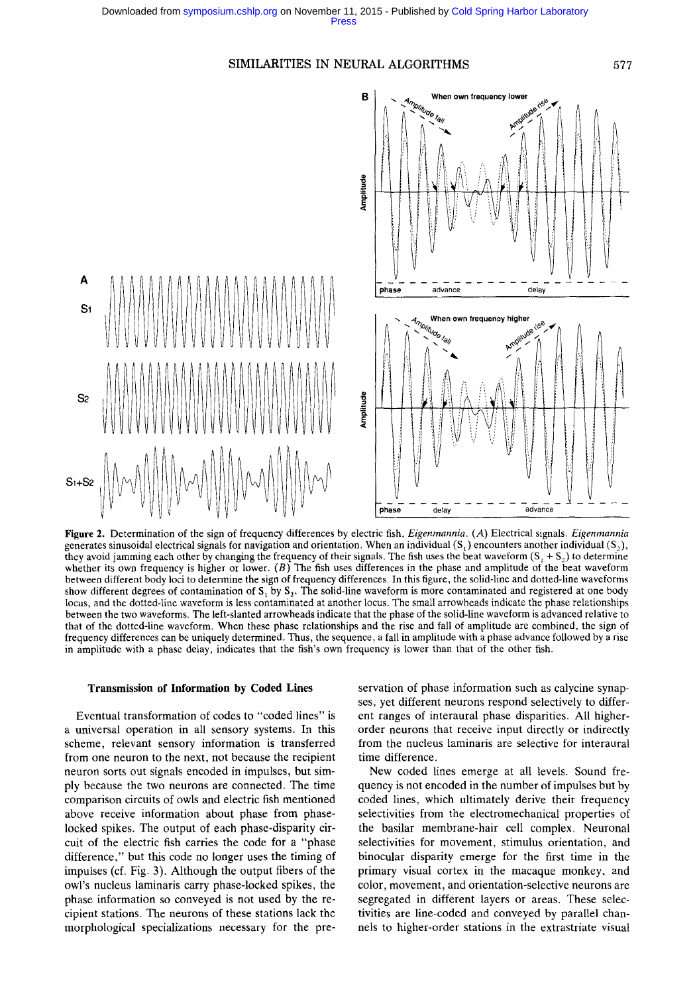

Figure 2. Determination of the sign of frequency differences by electric fish. *Eigenmannia.* (A) Electrical signals. *Eigenmannia*  generates sinusoidal electrical signals for navigation and orientation. When an individual  $(S_1)$  encounters another individual  $(S_2)$ , they avoid jamming each other by changing the frequency of their signals. The fish uses the beat waveform  $(S_1 + S_2)$  to determine whether its own frequency is higher or lower.  $(B)$  The fish uses differences in the phase and amplitude of the beat waveform between different body loci to determine the sign of frequency differences. In this figure, the solid-line and dotted-line waveforms show different degrees of contamination of  $S_1$  by  $S_2$ . The solid-line waveform is more contaminated and registered at one body locus, and the dotted-line waveform is less contaminated at another locus. The small arrowheads indicate the phase relationships between the two waveforms. The left-slanted arrowheads indicate that the phase of the solid-line waveform is advanced relative to that of the dotted-line waveform. When these phase relationships and the rise and fall of amplitude are combined, the sign of frequency differences can be uniquely determined. Thus, the sequence, a fall in amplitude with a phase advance followed by a rise in amplitude with a phase delay, indicates that the fish's own frequency is lower than that of the other fish.

#### Transmission of Information by Coded Lines

Eventual transformation of codes to "coded lines" is a universal operation in all sensory systems. In this scheme, relevant sensory information is transferred from one neuron to the next, not because the recipient neuron sorts out signals encoded in impulses, but simply because the two neurons are connected. The time comparison circuits of owls and electric fish mentioned above receive information about phase from phaselocked spikes. The output of each phase-disparity circuit of the electric fish carries the code for a "phase difference," but this code no longer uses the timing of impulses (cf. Fig. 3). Although the output fibers of the owl's nucleus laminaris carry phase-locked spikes, the phase information so conveyed is not used by the recipient stations. The neurons of these stations lack the morphological specializations necessary for the preservation of phase information such as calycine synapses, yet different neurons respond selectively to different ranges of interaural phase disparities. All higherorder neurons that receive input directly or indirectly from the nucleus laminaris are selective for interaural time difference.

New coded lines emerge at all levels. Sound frequency is not encoded in the number of impulses but by coded lines, which ultimately derive their frequency selectivities from the electromechanical properties of the basilar membrane-hair cell complex. Neuronal selectivities for movement, stimulus orientation, and binocular disparity emerge for the first time in the primary visual cortex in the macaque monkey. and color, movement, and orientation-selective neurons are segregated in different layers or areas. These selectivities are line-coded and conveyed by parallel channels to higher-order stations in the extrastriate visual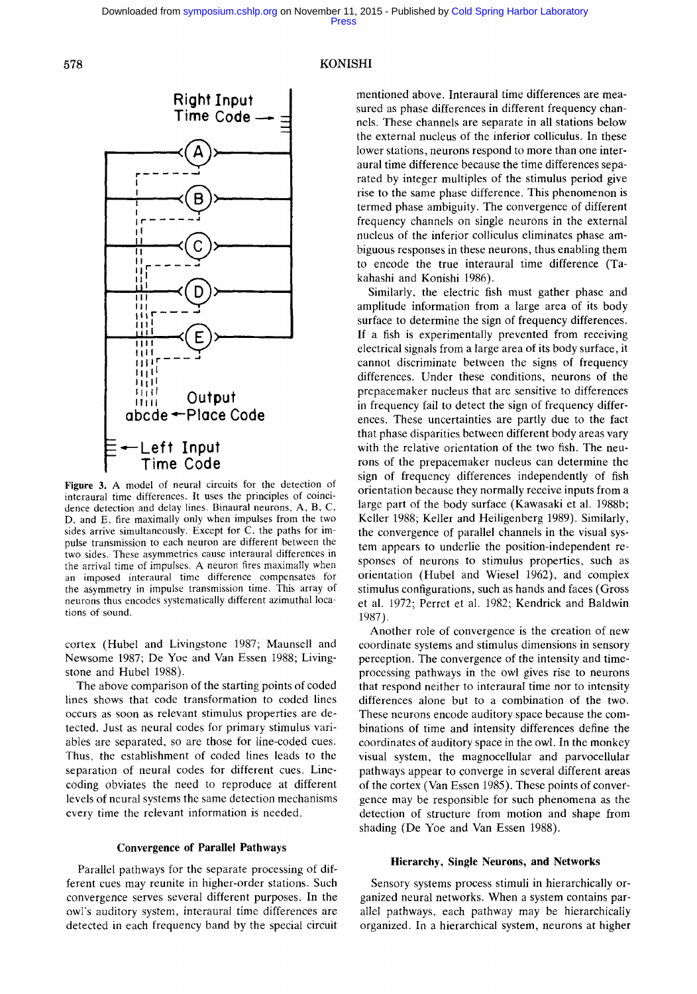

Figure 3. A model of neural circuits for the detection of interaural time differences. It uses the principles of coincidence detection and delay lines. Binaural neurons, A, B, C. D, and E, fire maximally only when impulses from the two sides arrive simultaneously. Except for C. the paths for impulse transmission to each neuron are different between the two sides. These asymmetries cause interaural differences in the arrival time of impulses. A neuron fires maximally when an imposed interaural time difference compensates for the asymmetry in impulse transmission time. This array of neurons thus encodes systematically different azimuthal locations of sound.

cortex (Hubel and Livingstone 1987; Maunsell and Newsome 1987; De Yoe and Van Essen 1988; Livingstone and Hubel 1988).

The above comparison of the starting points of coded lines shows that code transformation to coded lines occurs as soon as relevant stimulus properties are detected. Just as neural codes for primary stimulus variables are separated, so are those for line-coded cues. Thus, the establishment of coded lines leads to the separation of neural codes for different cues. Linecoding obviates the need to reproduce at different levels of neural systems the same detection mechanisms every time the relevant information is needed.

#### Convergence of Parallel Pathways

Parallel pathways for the separate processing of different cues may reunite in higher-order stations. Such convergence serves several different purposes. In the owl's auditory system, interaural time differences are detected in each frequency band by the special circuit

#### 578 KONISHI

mentioned above. Interaural time differences are measured as phase differences in different frequency channels. These channels are separate in all stations below the external nucleus of the inferior colliculus. In these lower stations, neurons respond to more than one interaural time difference because the time differences separated by integer multiples of the stimulus period give rise to the same phase difference. This phenomenon is termed phase ambiguity. The convergence of different frequency channels on single neurons in the external nucleus of the inferior colliculus eliminates phase ambiguous responses in these neurons, thus enabling them to encode the true interaural time difference (Takahashi and Konishi 1986).

Similarly, the electric fish must gather phase and amplitude information from a large area of its body surface to determine the sign of frequency differences. If a fish is experimentally prevented from receiving electrical signals from a large area of its body surface, it cannot discriminate between the signs of frequency differences. Under these conditions, neurons of the prepacemaker nucleus that are sensitive to differences in frequency fail to detect the sign of frequency differences. These uncertainties are partly due to the fact that phase disparities between different body areas vary with the relative orientation of the two fish. The neurons of the prepacemaker nucleus can determine the sign of frequency differences independently of fish orientation because they normally receive inputs from a large part of the body surface (Kawasaki et al. 1988b; Keller 1988; Keller and Heiligenberg 1989). Similarly, the convergence of parallel channels in the visual system appears to underlie the position-independent responses of neurons to stimulus properties, such as orientation (Hubel and Wiesel 1962), and complex stimulus configurations, such as hands and faces (Gross et al. 1972; Perret et al. 1982; Kendrick and Baldwin 1987).

Another role of convergence is the creation of new coordinate systems and stimulus dimensions in sensory perception. The convergence of the intensity and timeprocessing pathways in the owl gives rise to neurons that respond neither to interaural time nor to intensity differences alone but to a combination of the two. These neurons encode auditory space because the combinations of time and intensity differences define the coordinates of auditory space in the owl. In the monkey visual system, the magnocellular and parvocellular pathways appear to converge in several different areas of the cortex (Van Essen 1985). These points of convergence may be responsible for such phenomena as the detection of structure from motion and shape from shading (De Yoe and Van Essen 1988).

#### Hierarchy, Single Neurons, and Networks

Sensory systems process stimuli in hierarchically organized neural networks. When a system contains parallel pathways. each pathway may be hierarchically organized. In a hierarchical system, neurons at higher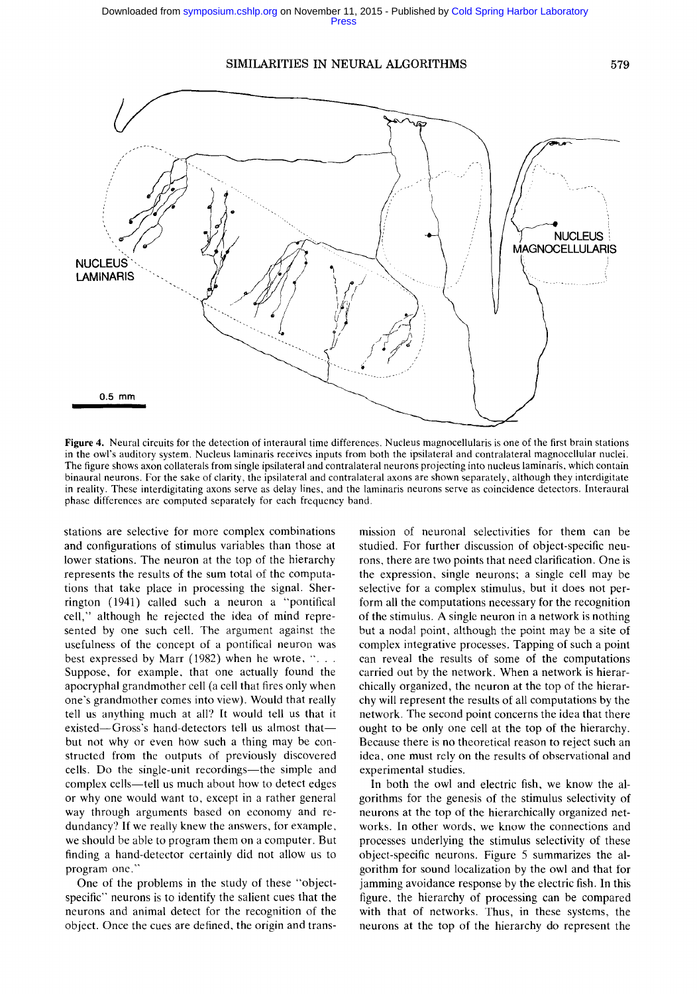



Figure 4. Neural circuits for the detection of interaural time differences. Nucleus magnocellularis is one of the first brain stations in the owl's auditory system. Nucleus laminaris receives inputs from both the ipsilateral and contralateral magnocellular nuclei. The figure shows axon collaterals from single ipsilateral and contralateral neurons projecting into nucleus laminaris. which contain binaural neurons. For the sake of clarity, the ipsilateral and contralateral axons are shown separately, although they interdigitate in reality. These interdigitating axons serve as delay lines. and the laminaris neurons serve as coincidence detectors. Interaural phase differences are computed separately for each frequency band.

stations are selective for more complex combinations and configurations of stimulus variables than those at lower stations. The neuron at the top of the hierarchy represents the results of the sum total of the computations that take place in processing the signal. Sherrington (1941) called such a neuron a "pontifical cell," although he rejected the idea of mind represented by one such cell. The argument against the usefulness of the concept of a pontifical neuron was best expressed by Marr  $(1982)$  when he wrote, "... Suppose, for example. that one actually found the apocryphal grandmother cell (a cell that fires only when one's grandmother comes into view). Would that really tell us anything much at all? It would tell us that it existed-Gross's hand-detectors tell us almost thatbut not why or even how such a thing may be constructed from the outputs of previously discovered cells. Do the single-unit recordings-the simple and complex cells—tell us much about how to detect edges or why one would want to, except in a rather general way through arguments based on economy and redundancy? If we really knew the answers, for example, we should be able to program them on a computer. But finding a hand-detector certainly did not allow us to program one."

One of the problems in the study of these "objectspecific" neurons is to identify the salient cues that the neurons and animal detect for the recognition of the object. Once the cues are defined, the origin and trans-

mission of neuronal selectivities for them can be studied. For further discussion of object-specific neurons, there are two points that need clarification. One is the expression, single neurons; a single cell may be selective for a complex stimulus, but it does not perform all the computations necessary for the recognition of the stimulus. A single neuron in a network is nothing but a nodal point, although the point may be a site of complex integrative processes. Tapping of such a point can reveal the results of some of the computations carried out by the network. When a network is hierarchically organized, the neuron at the top of the hierarchy will represent the results of all computations by the network. The second point concerns the idea that there ought to be only one cell at the top of the hierarchy. Because there is no theoretical reason to reject such an idea, one must rely on the results of observational and experimental studies.

In both the owl and electric fish, we know the algorithms for the genesis of the stimulus selectivity of neurons at the top of the hierarchically organized networks. In other words, we know the connections and processes underlying the stimulus selectivity of these object-specific neurons. Figure 5 summarizes the algorithm for sound localization by the owl and that for jamming avoidance response by the electric fish. In this figure, the hierarchy of processing can be compared with that of networks. Thus, in these systems, the neurons at the top of the hierarchy do represent the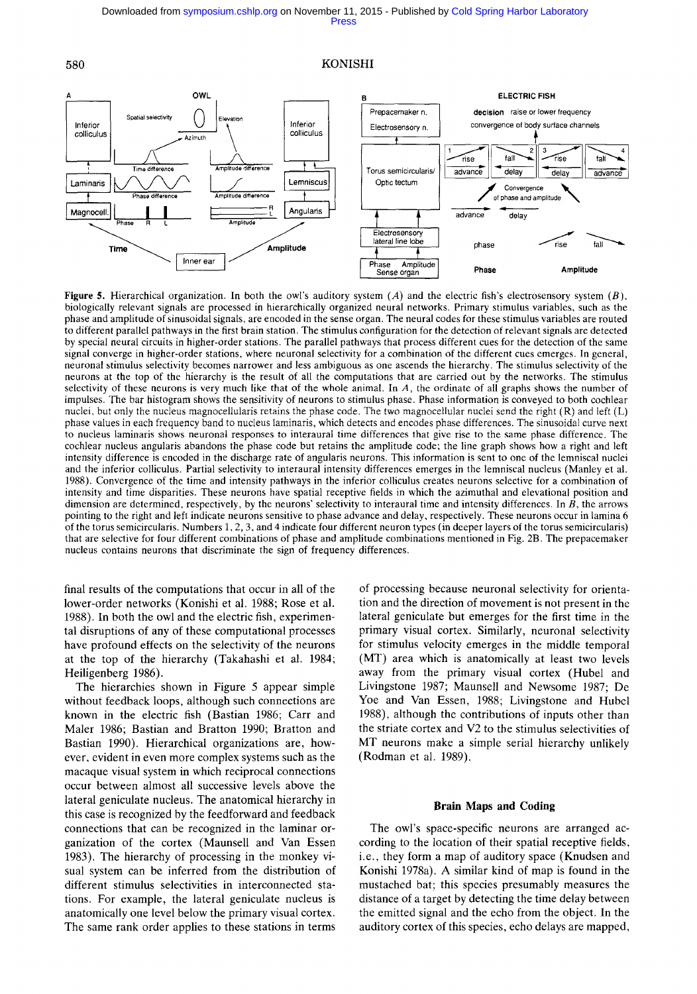### 580 KONISHI



Figure 5. Hierarchical organization. In both the owl's auditory system (A) and the electric fish's electrosensory system (B). biologically relevant signals are processed in hierarchically organized neural networks. Primary stimulus variables. such as the phase and amplitude of sinusoidal signals. are encoded in the sense organ. The neural codes for these stimulus variables are routed to different parallel pathways in the first brain station. The stimulus configuration for the detection of relevant signals are detected by special neural circuits in higher-order stations. The parallel pathways that process different cues for the detection of the same signal converge in higher-order stations, where neuronal selectivity for a combination of the different cues emerges. In general, neuronal stimulus selectivity becomes narrower and less ambiguous as one ascends the hierarchy. The stimulus selectivity of the neurons at the top of the hierarchy is the result of all the computations that are carried out by the networks. The stimulus selectivity of these neurons is very much like that of the whole animal. In  $A$ , the ordinate of all graphs shows the number of impulses. The bar histogram shows the sensitivity of neurons to stimulus phase. Phase information is conveyed to both cochlear nuclei. but only the nucleus magnocellularis retains the phase code. The two magnocellular nuclei send the right (R) and left (L) phase values in each frequency band to nucleus laminaris, which detects and encodes phase differences. The sinusoidal curve next to nucleus laminaris shows neuronal responses to interaural time differences that give rise to the same phase difference. The cochlear nucleus angularis abandons the phase code but retains the amplitude code; the line graph shows how a right and left intensity difference is encoded in the discharge rate of angularis neurons. This information is sent to one of the lemniscal nuclei and the inferior colliculus. Partial selectivity to interaural intensity differences emerges in the lemniscal nucleus (Manley et al. 1988). Convergence of the time and intensity pathways in the inferior colliculus creates neurons selective for a combination of intensity and time disparities. These neurons have spatial receptive fields in which the azimuthal and elevational position and dimension are determined, respectively, by the neurons' selectivity to interaural time and intensity differences. In  $\vec{B}$ , the arrows pointing to the right and left indicate neurons sensitive to phase advance and delay, respectively. These neurons occur in lamina 6 of the torus semicircularis. Numbers 1. 2, 3. and 4 indicate four different neuron types (in deeper layers of the torus semicircularis) that are selective for four different combinations of phase and amplitude combinations mentioned in Fig. 2B. The prepacemaker nucleus contains neurons that discriminate the sign of frequency differences.

final results of the computations that occur in all of the lower-order networks (Konishi et al. 1988; Rose et al. 1988). In both the owl and the electric fish, experimental disruptions of any of these computational processes have profound effects on the selectivity of the neurons at the top of the hierarchy (Takahashi et al. 1984; Heiligenberg 1986).

The hierarchies shown in Figure 5 appear simple without feedback loops, although such connections are known in the electric fish (Bastian 1986; Carr and Maler 1986; Bastian and Bratton 1990; Bratton and Bastian 1990). Hierarchical organizations are, however, evident in even more complex systems such as the macaque visual system in which reciprocal connections occur between almost all successive levels above the lateral geniculate nucleus. The anatomical hierarchy in this case is recognized by the feedforward and feedback connections that can be recognized in the laminar organization of the cortex (Maunsell and Van Essen 1983). The hierarchy of processing in the monkey visual system can be inferred from the distribution of different stimulus selectivities in interconnected stations. For example, the lateral geniculate nucleus is anatomically one level below the primary visual cortex. The same rank order applies to these stations in terms

of processing because neuronal selectivity for orientation and the direction of movement is not present in the lateral geniculate but emerges for the first time in the primary visual cortex. Similarly, neuronal selectivity for stimulus velocity emerges in the middle temporal (MT) area which is anatomically at least two levels away from the primary visual cortex (Hubel and Livingstone 1987; Maunsell and Newsome 1987; De Yoe and Van Essen, 1988; Livingstone and Hubel 1988), although the contributions of inputs other than the striate cortex and V2 to the stimulus selectivities of MT neurons make a simple serial hierarchy unlikely (Rodman et al. 1989).

#### Brain Maps and Coding

The owl's space-specific neurons are arranged according to the location of their spatial receptive fields, i.e., they form a map of auditory space (Knudsen and Konishi 1978a). A similar kind of map is found in the mustached bat; this species presumably measures the distance of a target by detecting the time delay between the emitted signal and the echo from the object. In the auditory cortex of this species, echo delays are mapped,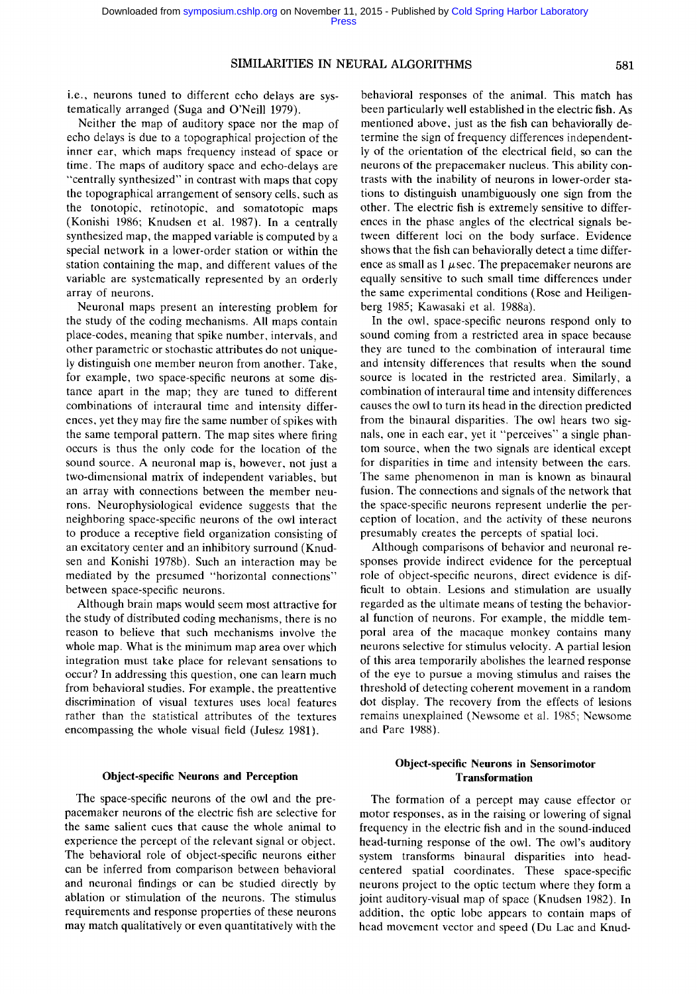i.e., neurons tuned to different echo delays are systematically arranged (Suga and O'Neill 1979).

Neither the map of auditory space nor the map of echo delays is due to a topographical projection of the inner ear, which maps frequency instead of space or time. The maps of auditory space and echo-delays are "centrally synthesized" in contrast with maps that copy the topographical arrangement of sensory cells, such as the tonotopic, retinotopic, and somatotopic maps (Konishi 1986; Knudsen et al. 1987). In a centrally synthesized map, the mapped variable is computed by a special network in a lower-order station or within the station containing the map, and different values of the variable are systematically represented by an orderly array of neurons.

Neuronal maps present an interesting problem for the study of the coding mechanisms. All maps contain place-codes, meaning that spike number. intervals, and other parametric or stochastic attributes do not uniquely distinguish one member neuron from another. Take, for example, two space-specific neurons at some distance apart in the map; they are tuned to different combinations of interaural time and intensity differences, yet they may fire the same number of spikes with the same temporal pattern. The map sites where firing occurs is thus the only code for the location of the sound source. A neuronal map is, however, not just a two-dimensional matrix of independent variables, but an array with connections between the member neurons. Neurophysiological evidence suggests that the neighboring space-specific neurons of the owl interact to produce a receptive field organization consisting of an excitatory center and an inhibitory surround (Knudsen and Konishi 1978b). Such an interaction may be mediated by the presumed "horizontal connections" between space-specific neurons.

Although brain maps would seem most attractive for the study of distributed coding mechanisms, there is no reason to believe that such mechanisms involve the whole map. What is the minimum map area over which integration must take place for relevant sensations to occur? In addressing this question, one can learn much from behavioral studies. For example, the preattentive discrimination of visual textures uses local features rather than the statistical attributes of the textures encompassing the whole visual field (Julesz 1981).

#### **Object-specific Neurons and Perception**

The space-specific neurons of the owl and the prepacemaker neurons of the electric fish are selective for the same salient cues that cause the whole animal to experience the percept of the relevant signal or object. The behavioral role of object-specific neurons either can be inferred from comparison between behavioral and neuronal findings or can be studied directly by ablation or stimulation of the neurons. The stimulus requirements and response properties of these neurons may match qualitatively or even quantitatively with the

behavioral responses of the animal. This match has been particularly well established in the electric fish. As mentioned above, just as the fish can behaviorally determine the sign of frequency differences independently of the orientation of the electrical field, so can the neurons of the prepacemaker nucleus. This ability contrasts with the inability of neurons in lower-order stations to distinguish unambiguously one sign from the other. The electric fish is extremely sensitive to differences in the phase angles of the electrical signals between different loci on the body surface. Evidence shows that the fish can behaviorally detect a time difference as small as  $1 \mu$ sec. The prepacemaker neurons are equally sensitive to such small time differences under the same experimental conditions (Rose and Heiligenberg 1985; Kawasaki et al. 1988a).

In the owl, space-specific neurons respond only to sound coming from a restricted area in space because they are tuned to the combination of interaural time and intensity differences that results when the sound source is located in the restricted area. Similarly, a combination of interaural time and intensity differences causes the owl to tum its head in the direction predicted from the binaural disparities. The owl hears two signals, one in each ear, yet it "perceives" a single phantom source, when the two signals are identical except for disparities in time and intensity between the ears. The same phenomenon in man is known as binaural fusion. The connections and signals of the network that the space-specific neurons represent underlie the perception of location, and the activity of these neurons presumably creates the percepts of spatial loci.

Although comparisons of behavior and neuronal responses provide indirect evidence for the perceptual role of object-specific neurons, direct evidence is difficult to obtain. Lesions and stimulation are usually regarded as the ultimate means of testing the behavioral function of neurons. For example, the middle temporal area of the macaque monkey contains many neurons selective for stimulus velocity. A partial lesion of this area temporarily abolishes the learned response of the eye to pursue a moving stimulus and raises the threshold of detecting coherent movement in a random dot display. The recovery from the effects of lesions remains unexplained (Newsome et al. 1985; Newsome and Pare 1988).

#### **Object-specific Neurons in Sensorimotor Transformation**

The formation of a percept may cause effector or motor responses, as in the raising or lowering of signal frequency in the electric fish and in the sound-induced head-turning response of the owl. The owl's auditory system transforms binaural disparities into headcentered spatial coordinates. These space-specific neurons project to the optic tectum where they form a joint auditory-visual map of space (Knudsen 1982). In addition, the optic lobe appears to contain maps of head movement vector and speed (Du Lac and Knud-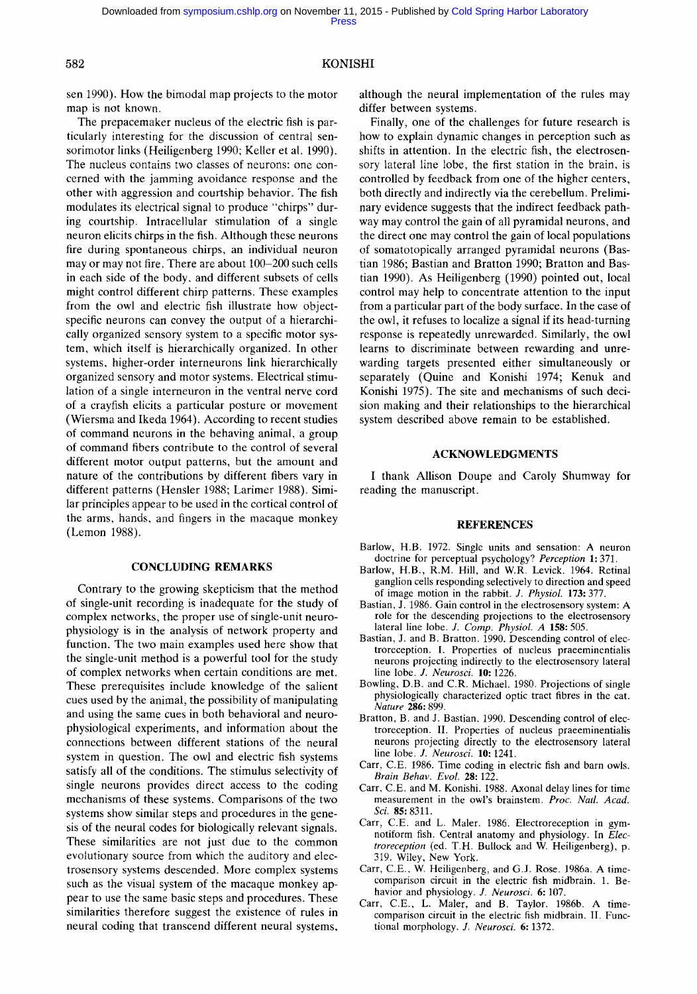#### 582 KONISHI

sen 1990). How the bimodal map projects to the motor map is not known.

The prepacemaker nucleus of the electric fish is particularly interesting for the discussion of central sensorimotor links (Heiligenberg 1990; Keller et al. 1990). The nucleus contains two classes of neurons: one concerned with the jamming avoidance response and the other with aggression and courtship behavior. The fish modulates its electrical signal to produce "chirps" during courtship. Intracellular stimulation of a single neuron elicits chirps in the fish. Although these neurons fire during spontaneous chirps, an individual neuron may or may not fire. There are about 100-200 such cells in each side of the body, and different subsets of cells might control different chirp patterns. These examples from the owl and electric fish illustrate how objectspecific neurons can convey the output of a hierarchically organized sensory system to a specific motor system, which itself is hierarchically organized. In other systems, higher-order interneurons link hierarchically organized sensory and motor systems. Electrical stimulation of a single interneuron in the ventral nerve cord of a crayfish elicits a particular posture or movement (Wiersma and Ikeda 1964). According to recent studies of command neurons in the behaving animal, a group of command fibers contribute to the control of several different motor output patterns, but the amount and nature of the contributions by different fibers vary in different patterns (Hensler 1988; Larimer 1988). Similar principles appear to be used in the cortical control of the arms, hands, and fingers in the macaque monkey (Lemon 1988).

#### CONCLUDING REMARKS

Contrary to the growing skepticism that the method of single-unit recording is inadequate for the study of complex networks, the proper use of single-unit neurophysiology is in the analysis of network property and function. The two main examples used here show that the single-unit method is a powerful tool for the study of complex networks when certain conditions are met. These prerequisites include knowledge of the salient cues used by the animal, the possibility of manipulating and using the same cues in both behavioral and neurophysiological experiments, and information about the connections between different stations of the neural system in question. The owl and electric fish systems satisfy all of the conditions. The stimulus selectivity of single neurons provides direct access to the coding mechanisms of these systems. Comparisons of the two systems show similar steps and procedures in the genesis of the neural codes for biologically relevant signals. These similarities are not just due to the common evolutionary source from which the auditory and electrosensory systems descended. More complex systems such as the visual system of the macaque monkey appear to use the same basic steps and procedures. These similarities therefore suggest the existence of rules in neural coding that transcend different neural systems, although the neural implementation of the rules may differ between systems.

Finally, one of the challenges for future research is how to explain dynamic changes in perception such as shifts in attention. In the electric fish, the electrosensory lateral line lobe, the first station in the brain, is controlled by feedback from one of the higher centers, both directly and indirectly via the cerebellum. Preliminary evidence suggests that the indirect feedback pathway may control the gain of all pyramidal neurons, and the direct one may control the gain of local populations of somatotopically arranged pyramidal neurons (Bastian 1986; Bastian and Bratton 1990; Bratton and Bastian 1990). As Heiligenberg (1990) pointed out, local control may help to concentrate attention to the input from a particular part of the body surface. In the case of the owl, it refuses to localize a signal if its head-turning response is repeatedly unrewarded. Similarly, the owl learns to discriminate between rewarding and unrewarding targets presented either simultaneously or separately (Quine and Konishi 1974; Kenuk and Konishi 1975). The site and mechanisms of such decision making and their relationships to the hierarchical system described above remain to be established.

#### ACKNOWLEDGMENTS

I thank Allison Doupe and Caroly Shumway for reading the manuscript.

#### **REFERENCES**

- Barlow, H.B. 1972. Single units and sensation: A neuron doctrine for perceptual psychology? *Perception* 1: 371.
- Barlow, H.B., R.M. Hill, and W.R. Levick. 1964. Retinal ganglion cells responding selectively to direction and speed of image motion in the rabbit. J. *Physiol.* 173: 377.
- Bastian, J. 1986. Gain control in the electrosensory system: A role for the descending projections to the electrosensory lateral line lobe. J. *Comp. Physiol. A* 158: 505.
- Bastian, J. and B. Bratton. 1990. Descending control of electroreception. I. Properties of nucleus praeeminentialis neurons projecting indirectly to the electrosensory lateral line lobe. J. *Neurosci.* 10: 1226.
- Bowling. D.B. and C.R. Michael. 1980. Projections of single physiologically characterized optic tract fibres in the cat. *Nature* 286: 899.
- Bratton, B. and J. Bastian. 1990. Descending control of electroreception. II. Properties of nucleus praeeminentialis neurons projecting directly to the electrosensory lateral line lobe. J. *Neurosci.* 10: 1241.
- Carr. C.E. 1986. Time coding in electric fish and barn owls. *Brain Behav. Evol.* 28: 122.
- Carr, C.E. and M. Konishi. 1988. Axonal delay lines for time measurement in the owl's brainstem. *Proc. Natl. Acad. Sci.* 85: 8311.
- Carr, C.E. and L. Maler. 1986. Electroreception in gymnotiform fish. Central anatomy and physiology. In *Electroreception* (ed. T.H. Bullock and W. Heiligenberg), p. 319. Wiley, New York.
- Carr, C.E., W. Heiligenberg, and G.J. Rose. 1986a. A timecomparison circuit in the electric fish midbrain. 1. Behavior and physiology. J. *Neurosci.* 6: 107.
- Carr, C.E., L. Maler, and B. Taylor. 1986b. A timecomparison circuit in the electric fish midbrain. II. Functional morphology. J. *Neurosci.* 6: 1372.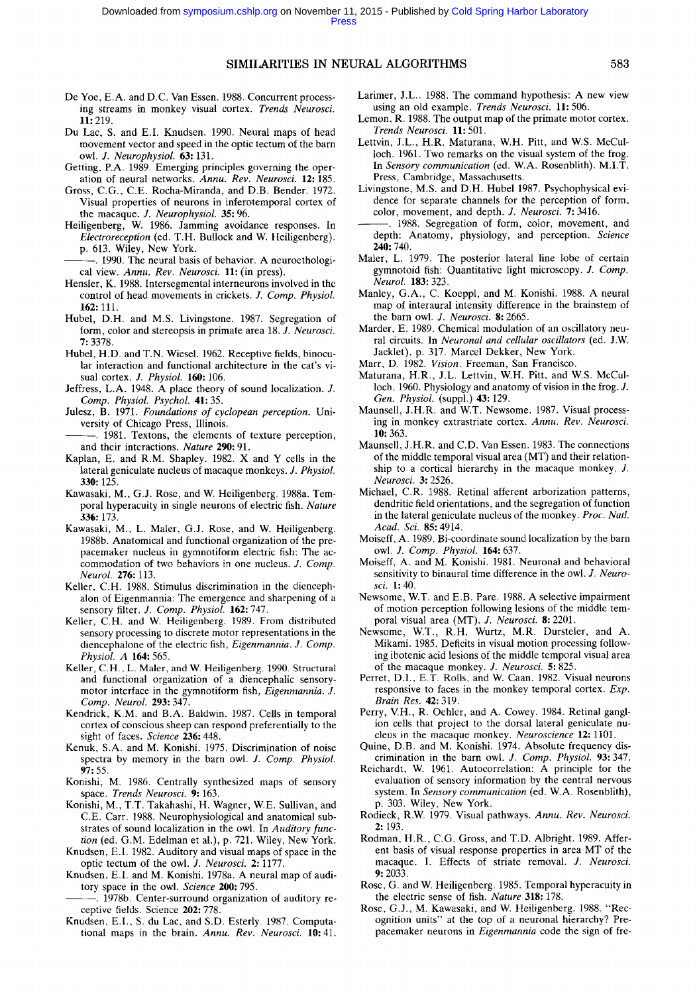- De Yoe, E.A. and D.C. Van Essen. 1988. Concurrent processing streams in monkey visual cortex. *Trends Neurosci.*  11: 219.
- Du Lac, S. and E.I. Knudsen. 1990. Neural maps of head movement vector and speed in the optic tectum of the barn owl. J. *Neurophysiol.* 63: 131.
- Getting, P.A. 1989. Emerging principles governing the operation of neural networks. *Annu. Rev. Neurosci.* 12: 185.
- Gross, C.G., C.E. Rocha-Miranda, and D.B. Bender. 1972. Visual properties of neurons in inferotemporal cortex of the macaque. J. *Neurophysiol.* 35: 96.
- Heiligenberg, W. 1986. Jamming avoidance responses. In *Electroreception* (ed. T.H. Bullock and W. Heiligenberg). p. 613. Wiley, New York.
	- . 1990. The neural basis of behavior. A neuroethological view. *Annu. Rev. Neurosci.* 11: (in press).
- Hensler, K. 1988. Intersegmental interneurons involved in the control of head movements in crickets. J. *Comp. Physiol.*  162: 111.
- Hubel, D.H. and M.S. Livingstone. 1987. Segregation of form, color and stereopsis in primate area 18. J. *Neurosci.*  7: 3378.
- Hubel, H.D. and T.N. Wiesel. 1962. Receptive fields, binocular interaction and functional architecture in the cat's visual cortex. J. *Physiol.* 160: 106.
- Jeffress, L.A. 1948. A place theory of sound localization. J. *Comp. Physiol. Psycho/.* 41: 35.
- Julesz, B. 1971. *Foundations of cyclopean perception.* University of Chicago Press, Illinois.

-. 1981. Textons, the elements of texture perception, and their interactions. *Nature* 290: 91.

- Kaplan, E. and R.M. Shapley. 1982. X and Y cells in the lateral geniculate nucleus of macaque monkeys. J. *Physiol.*  330: 125.
- Kawasaki, M., G.J. Rose, and W. Heiligenberg. 1988a. Temporal hyperacuity in single neurons of electric fish. *Nature*  336: 173.
- Kawasaki, M., L. Maler, G.J. Rose, and W. Heiligenberg. 1988b. Anatomical and functional organization of the prepacemaker nucleus in gymnotiform electric fish: The accommodation of two behaviors in one nucleus. J. *Comp. Neural.* 276: 113.
- Keller, C.H. 1988. Stimulus discrimination in the diencephalon of Eigenmannia: The emergence and sharpening of a sensory filter. J. *Comp. Physiol.* 162: 747.
- Keller, C.H. and W. Heiligenberg. 1989. From distributed sensory processing to discrete motor representations in the diencephalone of the electric fish, *Eigenmannia. J. Comp. Physiol. A* 164: 565.
- Keller, C.H., L. Maler, and W. Heiligenberg. 1990. Structural and functional organization of a diencephalic sensorymotor interface in the gymnotiform fish, *Eigenmannia.* J. *Comp. Neural.* 293: 347.
- Kendrick, K.M. and B.A. Baldwin. 1987. Cells in temporal cortex of conscious sheep can respond preferentially to the sight of faces. *Science* 236: 448.
- Kenuk, S.A. and M. Konishi. 1975. Discrimination of noise spectra by memory in the barn owl. *J. Comp. Physiol.*  97: 55.
- Konishi, M. 1986. Centrally synthesized maps of sensory space. *Trends Neurosci.* 9: 163.
- Konishi, M., T.T. Takahashi, H. Wagner, W.E. Sullivan, and C.E. Carr. 1988. Neurophysiological and anatomical substrates of sound localization in the owl. In *Auditory function* (ed. G.M. Edelman et al.), p. 721. Wiley, New York.
- Knudsen, E.I. 1982. Auditory and visual maps of space in the optic tectum of the owl. J. *Neurosci.* 2: 1177.
- Knudsen, E.I. and M. Konishi. 1978a. A neural map of auditory space in the owl. *Science* 200: 795.

-. 1978b. Center-surround organization of auditory receptive fields. Science 202: 778.

Knudsen, E.I., S. du Lac, and S.D. Esterly. 1987. Computational maps in the brain. *Annu. Rev. Neurosci.* 10: 41.

- Larimer, J.L.. 1988. The command hypothesis: A new view using an old example. *Trends Neurosci.* 11: 506.
- Lemon, R. 1988. The output map of the primate motor cortex. *Trends Neurosci.* 11: 501.
- Lettvin, J.L., H.R. Maturana, W.H. Pitt, and W.S. McCulloch. 1961. Two remarks on the visual system of the frog. In *Sensory communication* (ed. W.A. Rosenblith). M.I.T. Press, Cambridge, Massachusetts.
- Livingstone, M.S. and D.H. Hubel 1987. Psychophysical evidence for separate channels for the perception of form, color, movement, and depth. J. *Neurosci.* 7: 3416.
- . 1988. Segregation of form, color, movement, and depth: Anatomy, physiology, and perception. *Science*  240: 740.
- Maler, L. 1979. The posterior lateral line lobe of certain gymnotoid fish: Quantitative light microscopy. J. *Comp. Neural.* 183: 323.
- Manley, G.A., C. Koeppl, and M. Konishi. 1988. A neural map of interaural intensity difference in the brainstem of the barn owl. J. *Neurosci.* 8: 2665.
- Marder, E. 1989. Chemical modulation of an oscillatory neural circuits. In *Neuronal and cellular oscillators* (ed. J.W. Jacklet), p. 317. Marcel Dekker, New York.
- Marr, D. 1982. *Vision.* Freeman, San Francisco.
- Maturana, H.R., J.L. Lettvin, W.H. Pitt. and W.S. McCulloch. 1960. Physiology and anatomy of vision in the frog. J. *Gen. Physiol.* (suppl.) 43: 129.
- Maunsell, J.H.R. and W.T. Newsome. 1987. Visual processing in monkey extrastriate cortex. *Annu. Rev. Neurosci.*  10:363.
- Maunsell, J.H.R. and C.D. Van Essen. 1983. The connections of the middle temporal visual area (MT) and their relationship to a cortical hierarchy in the macaque monkey. J. *Neurosci.* 3: 2526.
- Michael, C.R. 1988. Retinal afferent arborization patterns, dendritic field orientations, and the segregation of function in the lateral geniculate nucleus of the monkey. *Proc. Natl. Acad.* Sci. 85: 4914.
- Moiseff, A. 1989. Bi-coordinate sound localization by the barn owl. J. *Comp. Physiol.* 164: 637.
- Moiseff, A. and M. Konishi. 1981. Neuronal and behavioral sensitivity to binaural time difference in the owl. *J. Neurosci.* 1: 40.
- Newsome, W.T. and E.B. Pare. 1988. A selective impairment of motion perception following lesions of the middle temporal visual area (MT). J. *Neurosci.* 8: 2201.
- Newsome, W.T., R.H. Wurtz, M.R. Dursteler, and A. Mikami. 1985. Deficits in visual motion processing following ibotenic acid lesions of the middle temporal visual area of the macaque monkey. *J. Neurosci.* 5: 825.
- Perret, D.I., E.T. Rolls, and W. Caan. 1982. Visual neurons responsive to faces in the monkey temporal cortex. *Exp. Brain Res.* 42: 319.
- Perry, V.H., R. Oehler, and A. Cowey. 1984. Retinal ganglion cells that project to the dorsal lateral geniculate nucleus in the macaque monkey. *Neuroscience* 12: 1101.
- Quine, D.B. and M. Konishi. 1974. Absolute frequency discrimination in the barn owl. J. *Comp. Physiol.* 93: 347.
- Reichardt, W. 1961. Autocorrelation: A principle for the evaluation of sensory information by the central nervous system. In *Sensory communication* (ed. W.A. Rosenblith), p. 303. Wiley, New York.
- Rodieck, R.W. 1979. Visual pathways. *Annu. Rev. Neurosci.*  2: 193.
- Rodman, H.R., C.G. Gross, and T.D. Albright. 1989. Afferent basis of visual response properties in area MT of the macaque. I. Effects of striate removal. J. *Neurosci.*  9: 2033.
- Rose, G. and W. Heiligenberg. 1985. Temporal hyperacuity in the electric sense of fish. *Nature* 318: 178.
- Rose, G.J., M. Kawasaki, and W. Heiligenberg. 1988. ''Recognition units" at the top of a neuronal hierarchy? Prepacemaker neurons in *Eigenmannia* code the sign of fre-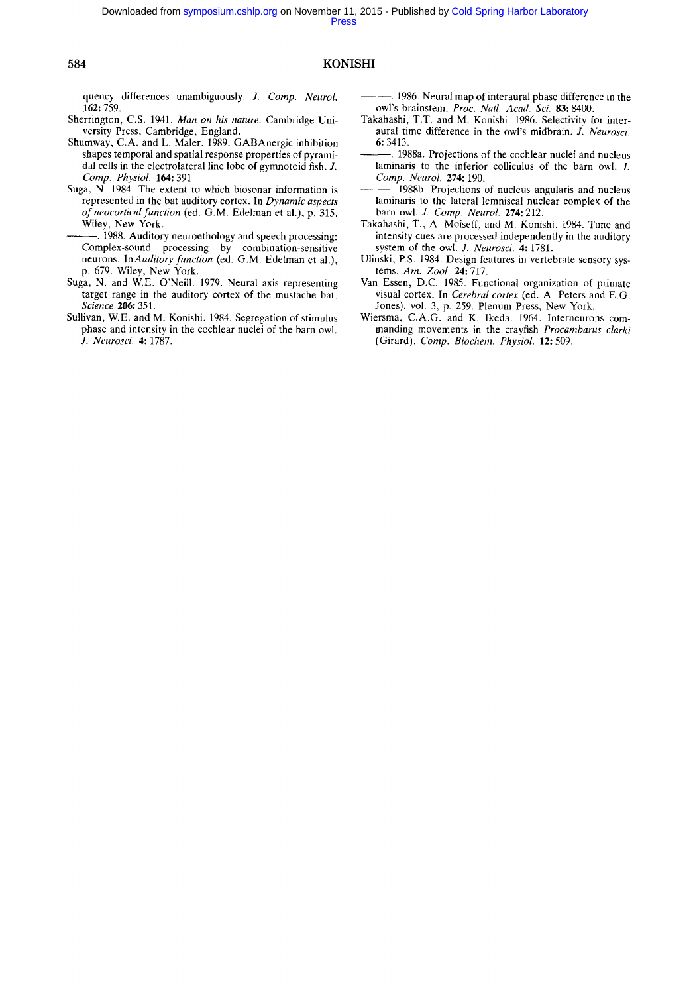### 584 KONISHI

quency differences unambiguously. *J. Comp. Neural.*  162: 759.

- Sherrington, C.S. 1941. *Man on his nature.* Cambridge University Press, Cambridge, England.
- Shumway, C.A. and L. Maler. 1989. GABAnergic inhibition shapes temporal and spatial response properties of pyramidal cells in the electrolateral line lobe of gymnotoid fish. J. *Comp. Physiol.* **164:** 391.
- Suga, N. 1984. The extent to which biosonar information is represented in the bat auditory cortex. In *Dynamic aspects ofneocorticalfunction* (ed. G.M. Edelman et al.), p. 315. Wiley, New York.
- -. 1988. Auditory neuroethology and speech processing: Complex-sound processing by combination-sensitive neurons. *InAuditory function* (ed. G.M. Edelman et al.), p. 679. Wiley, New York.
- Suga, N. and W.E. O'Neill. 1979. Neural axis representing target range in the auditory cortex of the mustache bat. *Science* 206: 351.
- Sullivan, W.E. and M. Konishi. 1984. Segregation of stimulus phase and intensity in the cochlear nuclei of the barn owl. J. *Neurosci.* **4:** 1787.
- -. 1986. Neural map of interaural phase difference in the owl's brainstem. *Proc. Natl. Acad. Sci.* 83: 8400.
- Takahashi, T.T. and M. Konishi. 1986. Selectivity for interaural time difference in the owl's midbrain. J. *Neurosci.*  6: 3413.
- . 1988a. Projections of the cochlear nuclei and nucleus laminaris to the inferior colliculus of the barn owl. J. *Comp. Neural.* 274: 190.
- 1988b. Projections of nucleus angularis and nucleus laminaris to the lateral lemniscal nuclear complex of the barn owl. *J. Comp. Neural.* 274: 212.
- Takahashi, T., A. Moiseff, and M. Konishi. 1984. Time and intensity cues are processed independently in the auditory system of the owl. J. *Neurosci.* **4:** 1781.
- Ulinski, P.S. 1984. Design features in vertebrate sensory systems. *Am. Zoo/.* 24: 717.
- Van Essen, D.C. 1985. Functional organization of primate visual cortex. In *Cerebral cortex* (ed. A. Peters and E.G. Jones), vol. 3, p. 259. Plenum Press, New York.
- Wiersma, C.A.G. and K. Ikeda. 1964. Interneurons commanding movements in the crayfish *Procambarus clarki*  (Girard). *Comp. Biochem. Physiol.* 12: 509.